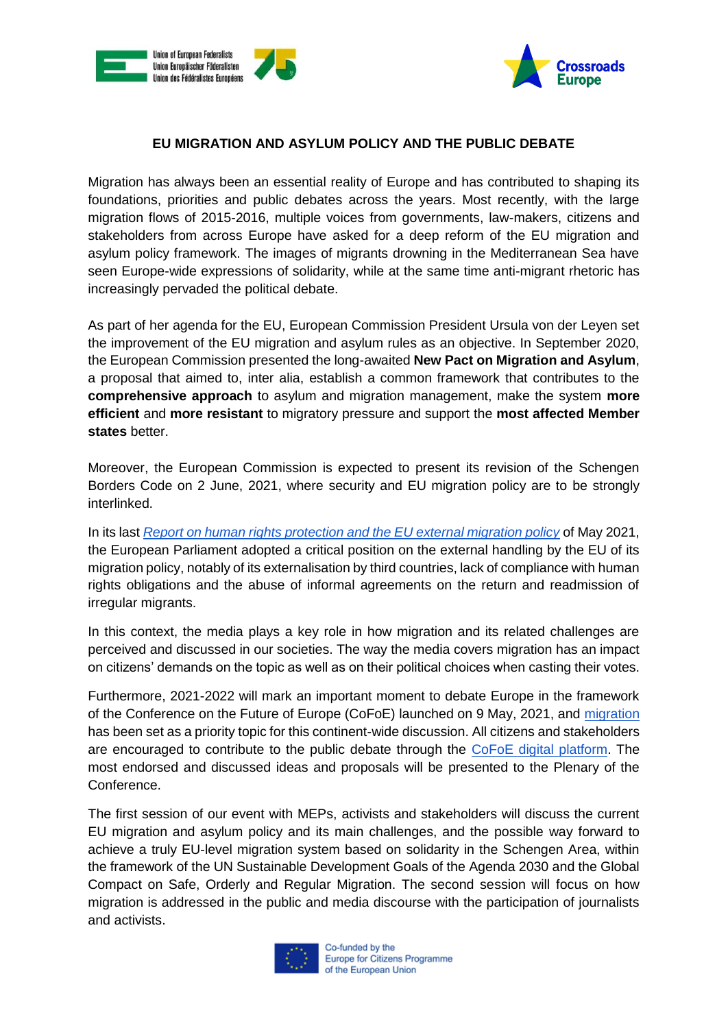



## **EU MIGRATION AND ASYLUM POLICY AND THE PUBLIC DEBATE**

Migration has always been an essential reality of Europe and has contributed to shaping its foundations, priorities and public debates across the years. Most recently, with the large migration flows of 2015-2016, multiple voices from governments, law-makers, citizens and stakeholders from across Europe have asked for a deep reform of the EU migration and asylum policy framework. The images of migrants drowning in the Mediterranean Sea have seen Europe-wide expressions of solidarity, while at the same time anti-migrant rhetoric has increasingly pervaded the political debate.

As part of her agenda for the EU, European Commission President Ursula von der Leyen set the improvement of the EU migration and asylum rules as an objective. In September 2020, the European Commission presented the long-awaited **New Pact on Migration and Asylum**, a proposal that aimed to, inter alia, establish a common framework that contributes to the **comprehensive approach** to asylum and migration management, make the system **more efficient** and **more resistant** to migratory pressure and support the **most affected Member states** better.

Moreover, the European Commission is expected to present its revision of the Schengen Borders Code on 2 June, 2021, where security and EU migration policy are to be strongly interlinked.

In its last *[Report on human rights protection and the EU external migration policy](https://www.europarl.europa.eu/doceo/document/A-9-2021-0060_EN.html)* of May 2021, the European Parliament adopted a critical position on the external handling by the EU of its migration policy, notably of its externalisation by third countries, lack of compliance with human rights obligations and the abuse of informal agreements on the return and readmission of irregular migrants.

In this context, the media plays a key role in how migration and its related challenges are perceived and discussed in our societies. The way the media covers migration has an impact on citizens' demands on the topic as well as on their political choices when casting their votes.

Furthermore, 2021-2022 will mark an important moment to debate Europe in the framework of the Conference on the Future of Europe (CoFoE) launched on 9 May, 2021, and [migration](https://futureu.europa.eu/processes/Migration) has been set as a priority topic for this continent-wide discussion. All citizens and stakeholders are encouraged to contribute to the public debate through the [CoFoE digital platform.](https://futureu.europa.eu/) The most endorsed and discussed ideas and proposals will be presented to the Plenary of the Conference.

The first session of our event with MEPs, activists and stakeholders will discuss the current EU migration and asylum policy and its main challenges, and the possible way forward to achieve a truly EU-level migration system based on solidarity in the Schengen Area, within the framework of the UN Sustainable Development Goals of the Agenda 2030 and the Global Compact on Safe, Orderly and Regular Migration. The second session will focus on how migration is addressed in the public and media discourse with the participation of journalists and activists.